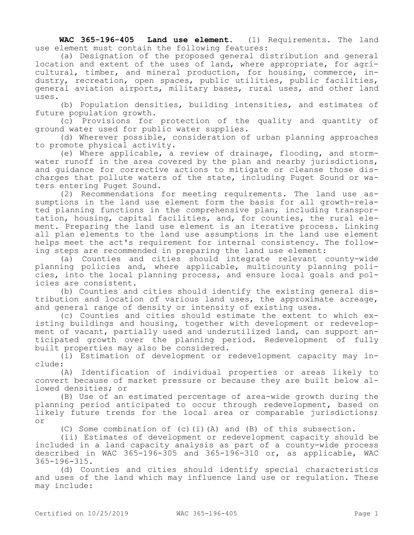**WAC 365-196-405 Land use element.** (1) Requirements. The land use element must contain the following features:

(a) Designation of the proposed general distribution and general location and extent of the uses of land, where appropriate, for agricultural, timber, and mineral production, for housing, commerce, industry, recreation, open spaces, public utilities, public facilities, general aviation airports, military bases, rural uses, and other land uses.

(b) Population densities, building intensities, and estimates of future population growth.

(c) Provisions for protection of the quality and quantity of ground water used for public water supplies.

(d) Wherever possible, consideration of urban planning approaches to promote physical activity.

(e) Where applicable, a review of drainage, flooding, and stormwater runoff in the area covered by the plan and nearby jurisdictions, and guidance for corrective actions to mitigate or cleanse those discharges that pollute waters of the state, including Puget Sound or waters entering Puget Sound.

(2) Recommendations for meeting requirements. The land use assumptions in the land use element form the basis for all growth-related planning functions in the comprehensive plan, including transportation, housing, capital facilities, and, for counties, the rural element. Preparing the land use element is an iterative process. Linking all plan elements to the land use assumptions in the land use element helps meet the act's requirement for internal consistency. The following steps are recommended in preparing the land use element:

(a) Counties and cities should integrate relevant county-wide planning policies and, where applicable, multicounty planning policies, into the local planning process, and ensure local goals and policies are consistent.

(b) Counties and cities should identify the existing general distribution and location of various land uses, the approximate acreage, and general range of density or intensity of existing uses.

(c) Counties and cities should estimate the extent to which existing buildings and housing, together with development or redevelopment of vacant, partially used and underutilized land, can support anticipated growth over the planning period. Redevelopment of fully built properties may also be considered.

(i) Estimation of development or redevelopment capacity may include:

(A) Identification of individual properties or areas likely to convert because of market pressure or because they are built below allowed densities; or

(B) Use of an estimated percentage of area-wide growth during the planning period anticipated to occur through redevelopment, based on likely future trends for the local area or comparable jurisdictions; or

(C) Some combination of (c)(i)(A) and (B) of this subsection.

(ii) Estimates of development or redevelopment capacity should be included in a land capacity analysis as part of a county-wide process described in WAC 365-196-305 and 365-196-310 or, as applicable, WAC 365-196-315.

(d) Counties and cities should identify special characteristics and uses of the land which may influence land use or regulation. These may include: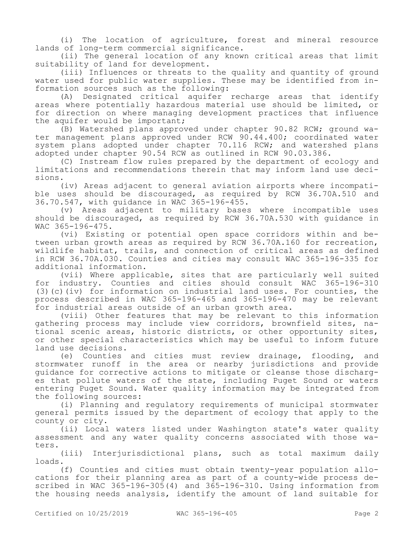(i) The location of agriculture, forest and mineral resource lands of long-term commercial significance.

(ii) The general location of any known critical areas that limit suitability of land for development.

(iii) Influences or threats to the quality and quantity of ground water used for public water supplies. These may be identified from information sources such as the following:

(A) Designated critical aquifer recharge areas that identify areas where potentially hazardous material use should be limited, or for direction on where managing development practices that influence the aquifer would be important;

(B) Watershed plans approved under chapter 90.82 RCW; ground water management plans approved under RCW 90.44.400; coordinated water system plans adopted under chapter 70.116 RCW; and watershed plans adopted under chapter 90.54 RCW as outlined in RCW 90.03.386.

(C) Instream flow rules prepared by the department of ecology and limitations and recommendations therein that may inform land use decisions.

(iv) Areas adjacent to general aviation airports where incompatible uses should be discouraged, as required by RCW 36.70A.510 and 36.70.547, with guidance in WAC 365-196-455.

(v) Areas adjacent to military bases where incompatible uses should be discouraged, as required by RCW 36.70A.530 with guidance in WAC 365-196-475.

(vi) Existing or potential open space corridors within and between urban growth areas as required by RCW 36.70A.160 for recreation, wildlife habitat, trails, and connection of critical areas as defined in RCW 36.70A.030. Counties and cities may consult WAC 365-196-335 for additional information.

(vii) Where applicable, sites that are particularly well suited for industry. Counties and cities should consult WAC 365-196-310 (3)(c)(iv) for information on industrial land uses. For counties, the process described in WAC 365-196-465 and 365-196-470 may be relevant for industrial areas outside of an urban growth area.

(viii) Other features that may be relevant to this information gathering process may include view corridors, brownfield sites, national scenic areas, historic districts, or other opportunity sites, or other special characteristics which may be useful to inform future land use decisions.

(e) Counties and cities must review drainage, flooding, and stormwater runoff in the area or nearby jurisdictions and provide guidance for corrective actions to mitigate or cleanse those discharges that pollute waters of the state, including Puget Sound or waters entering Puget Sound. Water quality information may be integrated from the following sources:

(i) Planning and regulatory requirements of municipal stormwater general permits issued by the department of ecology that apply to the county or city.

(ii) Local waters listed under Washington state's water quality assessment and any water quality concerns associated with those waters.

(iii) Interjurisdictional plans, such as total maximum daily loads.

(f) Counties and cities must obtain twenty-year population allocations for their planning area as part of a county-wide process described in WAC 365-196-305(4) and 365-196-310. Using information from the housing needs analysis, identify the amount of land suitable for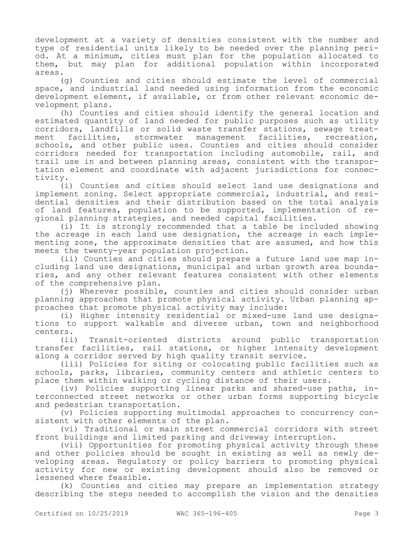development at a variety of densities consistent with the number and type of residential units likely to be needed over the planning period. At a minimum, cities must plan for the population allocated to them, but may plan for additional population within incorporated areas.

(g) Counties and cities should estimate the level of commercial space, and industrial land needed using information from the economic development element, if available, or from other relevant economic development plans.

(h) Counties and cities should identify the general location and estimated quantity of land needed for public purposes such as utility corridors, landfills or solid waste transfer stations, sewage treat-<br>ment facilities, stormwater management facilities, recreation, ment facilities, stormwater management schools, and other public uses. Counties and cities should consider corridors needed for transportation including automobile, rail, and trail use in and between planning areas, consistent with the transportation element and coordinate with adjacent jurisdictions for connectivity.

(i) Counties and cities should select land use designations and implement zoning. Select appropriate commercial, industrial, and residential densities and their distribution based on the total analysis of land features, population to be supported, implementation of regional planning strategies, and needed capital facilities.

(i) It is strongly recommended that a table be included showing the acreage in each land use designation, the acreage in each implementing zone, the approximate densities that are assumed, and how this meets the twenty-year population projection.

(ii) Counties and cities should prepare a future land use map including land use designations, municipal and urban growth area boundaries, and any other relevant features consistent with other elements of the comprehensive plan.

(j) Wherever possible, counties and cities should consider urban planning approaches that promote physical activity. Urban planning approaches that promote physical activity may include:

(i) Higher intensity residential or mixed-use land use designations to support walkable and diverse urban, town and neighborhood centers.

(ii) Transit-oriented districts around public transportation transfer facilities, rail stations, or higher intensity development along a corridor served by high quality transit service.

(iii) Policies for siting or colocating public facilities such as schools, parks, libraries, community centers and athletic centers to place them within walking or cycling distance of their users.

(iv) Policies supporting linear parks and shared-use paths, interconnected street networks or other urban forms supporting bicycle and pedestrian transportation.

(v) Policies supporting multimodal approaches to concurrency consistent with other elements of the plan.

(vi) Traditional or main street commercial corridors with street front buildings and limited parking and driveway interruption.

(vii) Opportunities for promoting physical activity through these and other policies should be sought in existing as well as newly developing areas. Regulatory or policy barriers to promoting physical activity for new or existing development should also be removed or lessened where feasible.

(k) Counties and cities may prepare an implementation strategy describing the steps needed to accomplish the vision and the densities